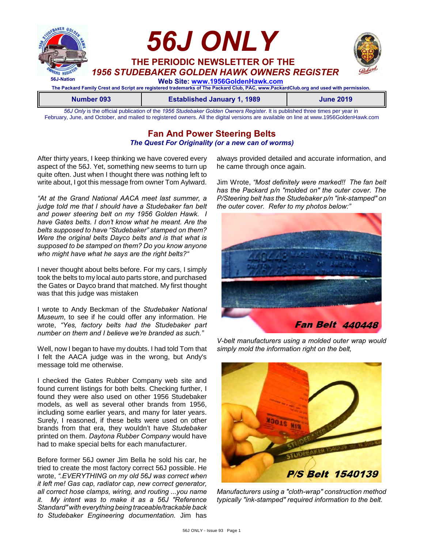

*56J Only* is the official publication of the *1956 Studebaker Golden Owners Register*. It is published three times per year in February, June, and October, and mailed to registered owners. All the digital versions are available on line at www.1956GoldenHawk.com

# **Fan And Power Steering Belts** *The Quest For Originality (or a new can of worms)*

After thirty years, I keep thinking we have covered every aspect of the 56J. Yet, something new seems to turn up quite often. Just when I thought there was nothing left to write about, I got this message from owner Tom Aylward.

*"At at the Grand National AACA meet last summer, a judge told me that I should have a Studebaker fan belt and power steering belt on my 1956 Golden Hawk. I have Gates belts. I don't know what he meant. Are the belts supposed to have "Studebaker" stamped on them? Were the original belts Dayco belts and is that what is supposed to be stamped on them? Do you know anyone who might have what he says are the right belts?"*

I never thought about belts before. For my cars, I simply took the belts to my local auto parts store, and purchased the Gates or Dayco brand that matched. My first thought was that this judge was mistaken

I wrote to Andy Beckman of the *Studebaker National Museum*, to see if he could offer any information. He wrote, *"Yes, factory belts had the Studebaker part number on them and I believe we're branded as such."*

Well, now I began to have my doubts. I had told Tom that I felt the AACA judge was in the wrong, but Andy's message told me otherwise.

I checked the Gates Rubber Company web site and found current listings for both belts. Checking further, I found they were also used on other 1956 Studebaker models, as well as several other brands from 1956, including some earlier years, and many for later years. Surely, I reasoned, if these belts were used on other brands from that era, they wouldn't have *Studebaker* printed on them. *Daytona Rubber Company* would have had to make special belts for each manufacturer.

Before former 56J owner Jim Bella he sold his car, he tried to create the most factory correct 56J possible. He wrote, *".EVERYTHING on my old 56J was correct when it left me! Gas cap, radiator cap, new correct generator, all correct hose clamps, wiring, and routing ...you name it. My intent was to make it as a 56J "Reference Standard" with everything being traceable/trackable back to Studebaker Engineering documentation.* Jim has always provided detailed and accurate information, and he came through once again.

Jim Wrote, *"Most definitely were marked!! The fan belt has the Packard p/n "molded on" the outer cover. The P/Steering belt has the Studebaker p/n "ink-stamped" on the outer cover. Refer to my photos below:"*



*V-belt manufacturers using a molded outer wrap would simply mold the information right on the belt,*



*Manufacturers using a "cloth-wrap" construction method typically "ink-stamped" required information to the belt.*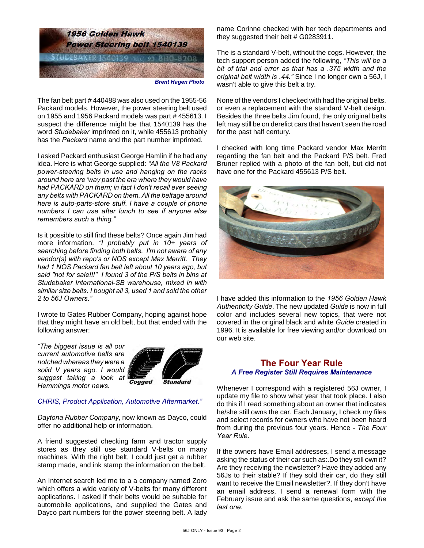

The fan belt part # 440488 was also used on the 1955-56 Packard models. However, the power steering belt used on 1955 and 1956 Packard models was part # 455613. I suspect the difference might be that 1540139 has the word *Studebaker* imprinted on it, while 455613 probably

I asked Packard enthusiast George Hamlin if he had any idea. Here is what George supplied: *"All the V8 Packard power-steering belts in use and hanging on the racks around here are 'way past the era where they would have had PACKARD on them; in fact I don't recall ever seeing any belts with PACKARD on them. All the beltage around here is auto-parts-store stuff. I have a couple of phone numbers I can use after lunch to see if anyone else remembers such a thing."*

has the *Packard* name and the part number imprinted.

Is it possible to still find these belts? Once again Jim had more information. *"I probably put in 10+ years of searching before finding both belts. I'm not aware of any vendor(s) with repo's or NOS except Max Merritt. They had 1 NOS Packard fan belt left about 10 years ago, but said "not for sale!!!" I found 3 of the P/S belts in bins at Studebaker International-SB warehouse, mixed in with similar size belts. I bought all 3, used 1 and sold the other 2 to 56J Owners."*

I wrote to Gates Rubber Company, hoping against hope that they might have an old belt, but that ended with the following answer:

*"The biggest issue is all our current automotive belts are notched whereas they were a solid V years ago. I would suggest taking a look at Hemmings motor news.*



#### *CHRIS, Product Application, Automotive Aftermarket."*

*Daytona Rubber Company*, now known as Dayco, could offer no additional help or information.

A friend suggested checking farm and tractor supply stores as they still use standard V-belts on many machines. With the right belt, I could just get a rubber stamp made, and ink stamp the information on the belt.

An Internet search led me to a a company named Zoro which offers a wide variety of V-belts for many different applications. I asked if their belts would be suitable for automobile applications, and supplied the Gates and Dayco part numbers for the power steering belt. A lady name Corinne checked with her tech departments and they suggested their belt # G0283911.

The is a standard V-belt, without the cogs. However, the tech support person added the following, *"This will be a bit of trial and error as that has a .375 width and the original belt width is .44."* Since I no longer own a 56J, I wasn't able to give this belt a try.

None of the vendors I checked with had the original belts, or even a replacement with the standard V-belt design. Besides the three belts Jim found, the only original belts left may still be on derelict cars that haven't seen the road for the past half century.

I checked with long time Packard vendor Max Merritt regarding the fan belt and the Packard P/S belt. Fred Bruner replied with a photo of the fan belt, but did not have one for the Packard 455613 P/S belt.



I have added this information to the *1956 Golden Hawk Authenticity Guide*. The new updated *Guide* is now in full color and includes several new topics, that were not covered in the original black and white *Guide* created in 1996. It is available for free viewing and/or download on our web site.

# **The Four Year Rule** *A Free Register Still Requires Maintenance*

Whenever I correspond with a registered 56J owner, I update my file to show what year that took place. I also do this if I read something about an owner that indicates he/she still owns the car. Each January, I check my files and select records for owners who have not been heard from during the previous four years. Hence *- The Four Year Rule*.

If the owners have Email addresses, I send a message asking the status of their car such as:.Do they still own it? Are they receiving the newsletter? Have they added any 56Js to their stable? If they sold their car, do they still want to receive the Email newsletter?. If they don't have an email address, I send a renewal form with the February issue and ask the same questions, *except the last one*.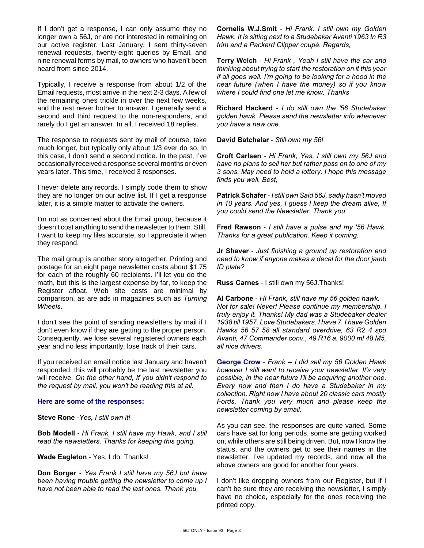If I don't get a response, I can only assume they no longer own a 56J, or are not interested in remaining on our active register. Last January, I sent thirty-seven renewal requests, twenty-eight queries by Email, and nine renewal forms by mail, to owners who haven't been heard from since 2014.

Typically, I receive a response from about 1/2 of the Email requests, most arrive in the next 2-3 days. A few of the remaining ones trickle in over the next few weeks, and the rest never bother to answer. I generally send a second and third request to the non-responders, and rarely do I get an answer. In all, I received 18 replies.

The response to requests sent by mail of course, take much longer, but typically only about 1/3 ever do so. In this case, I don't send a second notice. In the past, I've occasionally received a response several months or even years later. This time, I received 3 responses.

I never delete any records. I simply code them to show they are no longer on our active list. If I get a response later, it is a simple matter to activate the owners.

I'm not as concerned about the Email group, because it doesn't cost anything to send the newsletter to them. Still, I want to keep my files accurate, so I appreciate it when they respond.

The mail group is another story altogether. Printing and postage for an eight page newsletter costs about \$1.75 for each of the roughly 60 recipients. I'll let you do the math, but this is the largest expense by far, to keep the Register afloat. Web site costs are minimal by comparison, as are ads in magazines such as *Turning Wheels*.

I don't see the point of sending newsletters by mail if I don't even know if they are getting to the proper person. Consequently, we lose several registered owners each year and no less importantly, lose track of their cars.

If you received an email notice last January and haven't responded, this will probably be the last newsletter you will receive. *On the other hand, If you didn't respond to the request by mail, you won't be reading this at all.*

#### **Here are some of the responses:**

**Steve Rone** -*Yes, I still own it!*

**Bob Modell** - *Hi Frank, I still have my Hawk, and I still read the newsletters. Thanks for keeping this going.*

**Wade Eagleton** - Yes, I do. Thanks!

**Don Borger** - *Yes Frank I still have my 56J but have been having trouble getting the newsletter to come up I have not been able to read the last ones. Thank you,*

**Cornelis W.J.Smit** - *Hi Frank. I still own my Golden Hawk. It is sitting next to a Studebaker Avanti 1963 In R3 trim and a Packard Clipper coupé. Regards,*

**Terry Welch** - *Hi Frank , Yeah I still have the car and thinking about trying to start the restoration on it this year if all goes well. I'm going to be looking for a hood in the near future (when I have the money) so if you know where I could find one let me know. Thanks*

**Richard Hackerd** - *I do still own the '56 Studebaker golden hawk. Please send the newsletter info whenever you have a new one.*

**David Batchelar** - *Still own my 56!*

**Croft Carlsen** - *Hi Frank, Yes, I still own my 56J and have no plans to sell her but rather pass on to one of my 3 sons. May need to hold a lottery. I hope this message finds you well. Best,*

**Patrick Schafer** - *I still own Said 56J, sadly hasn't moved in 10 years. And yes, I guess I keep the dream alive, If you could send the Newsletter. Thank you* 

**Fred Rawson** - *I still have a pulse and my '56 Hawk. Thanks for a great publication. Keep it coming.*

**Jr Shaver** - *Just finishing a ground up restoration and need to know if anyone makes a decal for the door jamb ID plate?*

**Russ Carnes** - I still own my 56J.Thanks!

**Al Carbone** - *HI Frank, still have my 56 golden hawk. Not for sale! Never! Please continue my membership. I truly enjoy it. Thanks! My dad was a Studebaker dealer 1938 till 1957. Love Studebakers. I have 7. I have Golden Hawks 56 57 58 all standard overdrive, 63 R2 4 spd Avanti, 47 Commander conv., 49 R16 a. 9000 ml 48 M5, all nice drivers*.

**George Crow** - *Frank -- I did sell my 56 Golden Hawk however I still want to receive your newsletter. It's very possible, in the near future I'll be acquiring another one. Every now and then I do have a Studebaker in my collection. Right now I have about 20 classic cars mostly Fords. Thank you very much and please keep the newsletter coming by email.*

As you can see, the responses are quite varied. Some cars have sat for long periods, some are getting worked on, while others are still being driven. But, now I know the status, and the owners get to see their names in the newsletter. I've updated my records, and now all the above owners are good for another four years.

I don't like dropping owners from our Register, but if I can't be sure they are receiving the newsletter, I simply have no choice, especially for the ones receiving the printed copy.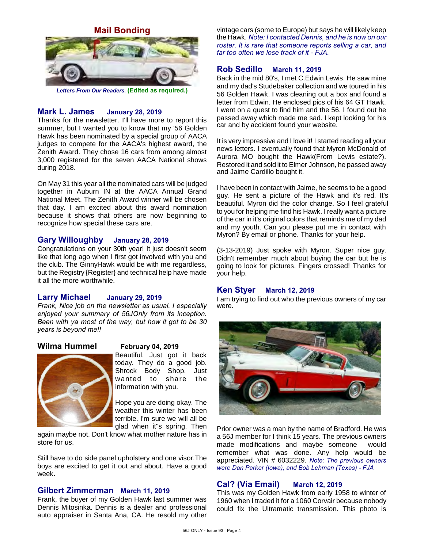**Mail Bonding**



*Letters From Our Readers.* **(Edited as required.)**

# **Mark L. James January 28, 2019**

Thanks for the newsletter. I'll have more to report this summer, but I wanted you to know that my '56 Golden Hawk has been nominated by a special group of AACA judges to compete for the AACA's highest award, the Zenith Award. They chose 16 cars from among almost 3,000 registered for the seven AACA National shows during 2018.

On May 31 this year all the nominated cars will be judged together in Auburn IN at the AACA Annual Grand National Meet. The Zenith Award winner will be chosen that day. I am excited about this award nomination because it shows that others are now beginning to recognize how special these cars are.

#### **Gary Willoughby January 28, 2019**

Congratulations on your 30th year! It just doesn't seem like that long ago when I first got involved with you and the club. The GinnyHawk would be with me regardless, but the Registry {Register} and technical help have made it all the more worthwhile.

#### **Larry Michael January 29, 2019**

*Frank, Nice job on the newsletter as usual. I especially enjoyed your summary of 56JOnly from its inception. Been with ya most of the way, but how it got to be 30 years is beyond me!!*

#### **Wilma Hummel February 04, 2019**



Beautiful. Just got it back today. They do a good job. Shrock Body Shop. Just wanted to share the information with you.

Hope you are doing okay. The weather this winter has been terrible. I'm sure we will all be glad when it"s spring. Then

again maybe not. Don't know what mother nature has in store for us.

Still have to do side panel upholstery and one visor.The boys are excited to get it out and about. Have a good week.

### **Gilbert Zimmerman March 11, 2019**

Frank, the buyer of my Golden Hawk last summer was Dennis Mitosinka. Dennis is a dealer and professional auto appraiser in Santa Ana, CA. He resold my other vintage cars (some to Europe) but says he will likely keep the Hawk. *Note: I contacted Dennis, and he is now on our roster. It is rare that someone reports selling a car, and far too often we lose track of it - FJA.*

# **Rob Sedillo March 11, 2019**

Back in the mid 80's, I met C.Edwin Lewis. He saw mine and my dad's Studebaker collection and we toured in his 56 Golden Hawk. I was cleaning out a box and found a letter from Edwin. He enclosed pics of his 64 GT Hawk. I went on a quest to find him and the 56. I found out he passed away which made me sad. I kept looking for his car and by accident found your website.

It is very impressive and I love it! I started reading all your news letters. I eventually found that Myron McDonald of Aurora MO bought the Hawk(From Lewis estate?). Restored it and sold it to Elmer Johnson, he passed away and Jaime Cardillo bought it.

I have been in contact with Jaime, he seems to be a good guy. He sent a picture of the Hawk and it's red. It's beautiful. Myron did the color change. So I feel grateful to you for helping me find his Hawk. I really want a picture of the car in it's original colors that reminds me of my dad and my youth. Can you please put me in contact with Myron? By email or phone. Thanks for your help.

(3-13-2019) Just spoke with Myron. Super nice guy. Didn't remember much about buying the car but he is going to look for pictures. Fingers crossed! Thanks for your help.

#### **Ken Styer March 12, 2019**

I am trying to find out who the previous owners of my car were.



Prior owner was a man by the name of Bradford. He was a 56J member for I think 15 years. The previous owners made modifications and maybe someone would remember what was done. Any help would be appreciated. VIN # 6032229. *Note: The previous owners were Dan Parker (Iowa), and Bob Lehman (Texas) - FJA*

### **Cal? (Via Email) March 12, 2019**

This was my Golden Hawk from early 1958 to winter of 1960 when I traded it for a 1060 Corvair because nobody could fix the Ultramatic transmission. This photo is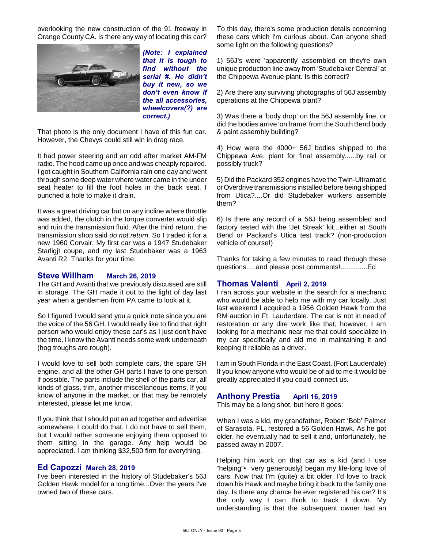overlooking the new construction of the 91 freeway in Orange County CA. Is there any way of locating this car?



*(Note: I explained that it is tough to find without the serial #. He didn't buy it new, so we don't even know if the all accessories, wheelcovers(?) are correct.)*

That photo is the only document I have of this fun car. However, the Chevys could still win in drag race.

It had power steering and an odd after market AM-FM radio. The hood came up once and was cheaply repaired. I got caught in Southern California rain one day and went through some deep water where water came in the under seat heater to fill the foot holes in the back seat. I punched a hole to make it drain.

It was a great driving car but on any incline where throttle was added, the clutch in the torque converter would slip and ruin the transmission fluid. After the third return. the transmission shop said *do not return*. So I traded it for a new 1960 Corvair. My first car was a 1947 Studebaker Starligjt coupe, and my last Studebaker was a 1963 Avanti R2. Thanks for your time.

#### **Steve Willham March 26, 2019**

The GH and Avanti that we previously discussed are still in storage. The GH made it out to the light of day last year when a gentlemen from PA came to look at it.

So I figured I would send you a quick note since you are the voice of the 56 GH. I would really like to find that right person who would enjoy these car's as I just don't have the time. I know the Avanti needs some work underneath (hog troughs are rough).

I would love to sell both complete cars, the spare GH engine, and all the other GH parts I have to one person if possible. The parts include the shell of the parts car, all kinds of glass, trim, another miscellaneous items. If you know of anyone in the market, or that may be remotely interested, please let me know.

If you think that I should put an ad together and advertise somewhere, I could do that. I do not have to sell them, but I would rather someone enjoying them opposed to them sitting in the garage. Any help would be appreciated. I am thinking \$32,500 firm for everything.

#### **Ed Capozzi March 28, 2019**

I've been interested in the history of Studebaker's 56J Golden Hawk model for a long time...Over the years I've owned two of these cars.

To this day, there's some production details concerning these cars which I'm curious about. Can anyone shed some light on the following questions?

1) 56J's were 'apparently' assembled on they're own unique production line away from 'Studebaker Central' at the Chippewa Avenue plant. Is this correct?

2) Are there any surviving photographs of 56J assembly operations at the Chippewa plant?

3) Was there a 'body drop' on the 56J assembly line, or did the bodies arrive 'on frame' from the South Bend body & paint assembly building?

4) How were the 4000+ 56J bodies shipped to the Chippewa Ave. plant for final assembly......by rail or possibly truck?

5) Did the Packard 352 engines have the Twin-Ultramatic or Overdrive transmissions installed before being shipped from Utica?....Or did Studebaker workers assemble them?

6) Is there any record of a 56J being assembled and factory tested with the 'Jet Streak' kit...either at South Bend or Packard's Utica test track? (non-production vehicle of course!)

Thanks for taking a few minutes to read through these questions.....and please post comments!..............Ed

### **Thomas Valenti April 2, 2019**

I ran across your website in the search for a mechanic who would be able to help me with my car locally. Just last weekend I acquired a 1956 Golden Hawk from the RM auction in Ft. Lauderdale. The car is not in need of restoration or any dire work like that, however, I am looking for a mechanic near me that could specialize in my car specifically and aid me in maintaining it and keeping it reliable as a driver.

I am in South Florida in the East Coast. (Fort Lauderdale) If you know anyone who would be of aid to me it would be greatly appreciated if you could connect us.

# **Anthony Prestia April 16, 2019**

This may be a long shot, but here it goes:

When I was a kid, my grandfather, Robert 'Bob' Palmer of Sarasota, FL, restored a 56 Golden Hawk. As he got older, he eventually had to sell it and, unfortunately, he passed away in 2007.

Helping him work on that car as a kid (and I use "helping"• very generously) began my life-long love of cars. Now that I'm (quite) a bit older, I'd love to track down his Hawk and maybe bring it back to the family one day. Is there any chance he ever registered his car? It's the only way I can think to track it down. My understanding is that the subsequent owner had an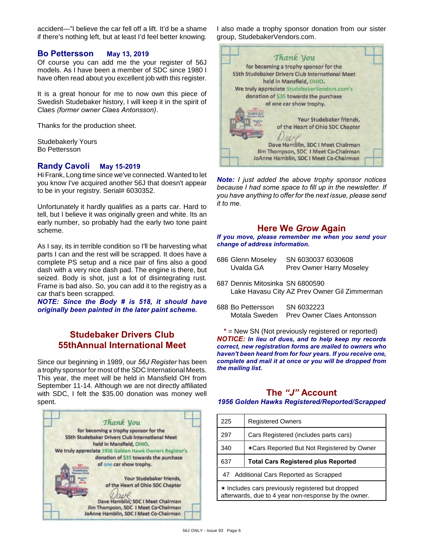accident—"I believe the car fell off a lift. It'd be a shame if there's nothing left, but at least I'd feel better knowing.

## **Bo Pettersson May 13, 2019**

Of course you can add me the your register of 56J models. As I have been a member of SDC since 1980 I have often read about you excellent job with this register.

It is a great honour for me to now own this piece of Swedish Studebaker history, I will keep it in the spirit of Claes *(former owner Claes Antonsson)*.

Thanks for the production sheet.

Studebakerly Yours Bo Pettersson

## **Randy Cavoli May 15-2019**

Hi Frank, Long time since we've connected. Wanted to let you know I've acquired another 56J that doesn't appear to be in your registry. Serial# 6030352.

Unfortunately it hardly qualifies as a parts car. Hard to tell, but I believe it was originally green and white. Its an early number, so probably had the early two tone paint scheme.

As I say, its in terrible condition so I'll be harvesting what parts I can and the rest will be scrapped. It does have a complete PS setup and a nice pair of fins also a good dash with a very nice dash pad. The engine is there, but seized. Body is shot, just a lot of disintegrating rust. Frame is bad also. So, you can add it to the registry as a car that's been scrapped.

*NOTE: Since the Body # is 518, it should have originally been painted in the later paint scheme.*

# **Studebaker Drivers Club 55thAnnual International Meet**

Since our beginning in 1989, our *56J Register* has been a trophy sponsor for most of the SDC International Meets. This year, the meet will be held in Mansfield OH from September 11-14. Although we are not directly affiliated with SDC, I felt the \$35.00 donation was money well spent.



I also made a trophy sponsor donation from our sister group, StudebakerVendors.com.



*Note: I just added the above trophy sponsor notices because I had some space to fill up in the newsletter. If you have anything to offer for the next issue, please send it to me.*

# **Here We** *Grow* **Again**

*If you move, please remember me when you send your change of address information.*

| 686 Glenn Moseley<br>Uvalda GA  | SN 6030037 6030608<br><b>Prev Owner Harry Moseley</b> |
|---------------------------------|-------------------------------------------------------|
| 687 Dennis Mitosinka SN 6800590 | Lake Havasu City AZ Prev Owner Gil Zimmerman          |
| 688 Bo Pettersson               | SN 6032223                                            |

Motala Sweden Prev Owner Claes Antonsson

**\*** = New SN (Not previously registered or reported) *NOTICE: In lieu of dues, and to help keep my records correct, new registration forms are mailed to owners who haven't been heard from for four years. If you receive one, complete and mail it at once or you will be dropped from the mailing list.*

## **The** *"J"* **Account** *1956 Golden Hawks Registered/Reported/Scrapped*

| 225 | <b>Registered Owners</b>                   |
|-----|--------------------------------------------|
| 297 | Cars Registered (includes parts cars)      |
| 340 | *Cars Reported But Not Registered by Owner |
|     |                                            |
| 637 | <b>Total Cars Registered plus Reported</b> |
|     | 47 Additional Cars Reported as Scrapped    |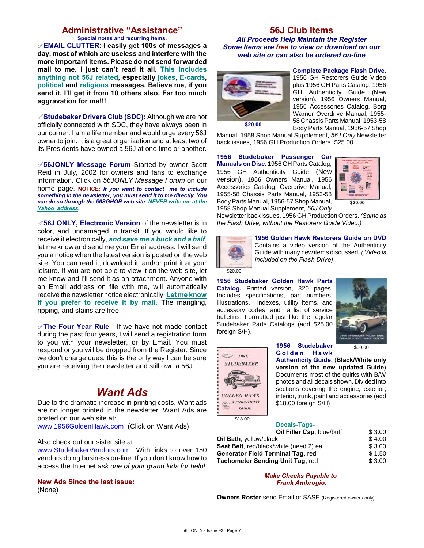# **Administrative "Assistance"**

**Special notes and recurring items.**

°**EMAIL CLUTTER**: **I easily get 100s of messages a day, most of which are useless and interfere with the more important items. Please do not send forwarded mail to me. I just can't read it all. This includes anything not 56J related, especially jokes, E-cards, political and religious messages. Believe me, if you send it, I'll get it from 10 others also. Far too much aggravation for me!!!**

°**Studebaker Drivers Club (SDC):** Although we are not officially connected with SDC, they have always been in our corner. I am a life member and would urge every 56J owner to join. It is a great organization and at least two of its Presidents have owned a 56J at one time or another.

°**56JONLY Message Forum** Started by owner Scott Reid in July, 2002 for owners and fans to exchange information. Click on *56JONLY Message Forum* on our home page. **NOTICE:** *If you want to contact me to include something in the newsletter, you must send it to me directly. You can do so through the 56SGHOR web site. NEVER write me at the Yahoo address.*

°**56J ONLY, Electronic Version** of the newsletter is in color, and undamaged in transit. If you would like to receive it electronically, *and save me a buck and a half*, let me know and send me your Email address. I will send you a notice when the latest version is posted on the web site. You can read it, download it, and/or print it at your leisure. If you are not able to view it on the web site, let me know and I'll send it as an attachment. Anyone with an Email address on file with me, will automatically receive the newsletter notice electronically. **Let me know if you prefer to receive it by mail**. The mangling, ripping, and stains are free.

**√The Four Year Rule** - If we have not made contact during the past four years, I will send a registration form to you with your newsletter, or by Email. You must respond or you will be dropped from the Register. Since we don't charge dues, this is the only way I can be sure you are receiving the newsletter and still own a 56J.

# *Want Ads*

Due to the dramatic increase in printing costs, Want ads are no longer printed in the newsletter. Want Ads are posted on our web site at:

[www.1956GoldenHawk.com](http://www.1956GoldenHawk.com) (Click on Want Ads)

#### Also check out our sister site at:

[www.StudebakerVendors.com](http://www.StudebakerVendors.com) With links to over 150 vendors doing business on-line. If you don't know how to access the Internet *ask one of your grand kids for help!*

**New Ads Since the last issue:**

(None)

#### **56J Club Items** *All Proceeds Help Maintain the Register Some Items are free to view or download on our web site or can also be ordered on-line*



**Complete Package Flash Drive**. 1956 GH Restorers Guide Video plus 1956 GH Parts Catalog, 1956 GH Authenticity Guide (New version), 1956 Owners Manual, 1956 Accessories Catalog, Borg Warner Overdrive Manual, 1955- 58 Chassis Parts Manual, 1953-58 Body Parts Manual, 1956-57 Shop

Manual, 1958 Shop Manual Supplement, *56J Only* Newsletter back issues, 1956 GH Production Orders. \$25.00

**1956 Studebaker Passenger Car Manuals on Disc.** 1956 GH Parts Catalog, 1956 GH Authenticity Guide (New version), 1956 Owners Manual, 1956 Accessories Catalog, Overdrive Manual, 1955-58 Chassis Parts Manual, 1953-58 Body Parts Manual, 1956-57 Shop Manual, 1958 Shop Manual Supplement, *56J Only*



Newsletter back issues, 1956 GH Production Orders. *(Same as the Flash Drive, without the Restorers Guide Video.)*



**1956 Golden Hawk Restorers Guide on DVD**

Contains a video version of the Authenticity Guide with many new items discussed. *( Video is Included on the Flash Drive)*

 $\overline{$20.00}$ 

**1956 Studebaker Golden Hawk Parts Catalog.** Printed version, 320 pages. Includes specifications, part numbers, illustrations, indexes, utility items, and accessory codes, and a list of service bulletins. Formatted just like the regular Studebaker Parts Catalogs (add \$25.00 foreign S/H).



**1956 Studebaker G o l d e n H a w k**

**Authenticity Guide.** (**Black/White only version of the new updated Guide**) Documents most of the quirks with B/W photos and all decals shown. Divided into sections covering the engine, exterior, interior, trunk, paint and accessories (add \$18.00 foreign S/H)

\$18.00

**GOLDEN HAWK AUTHENTICITY**  $GUIDE$ 

1956 **STUDEBAKER** 

> **Decals-Tags-Oil Filler Cap**, blue/buff \$ 3.00

| <b>Oil Bath, yellow/black</b>                   | \$4.00 |
|-------------------------------------------------|--------|
| <b>Seat Belt</b> , red/black/white (need 2) ea. | \$3.00 |
| Generator Field Terminal Tag. red               | \$1.50 |
| Tachometer Sending Unit Tag, red                | \$3.00 |
|                                                 |        |

*Make Checks Payable to Frank Ambrogio.*

**Owners Roster** send Email or SASE (Registered owners only)